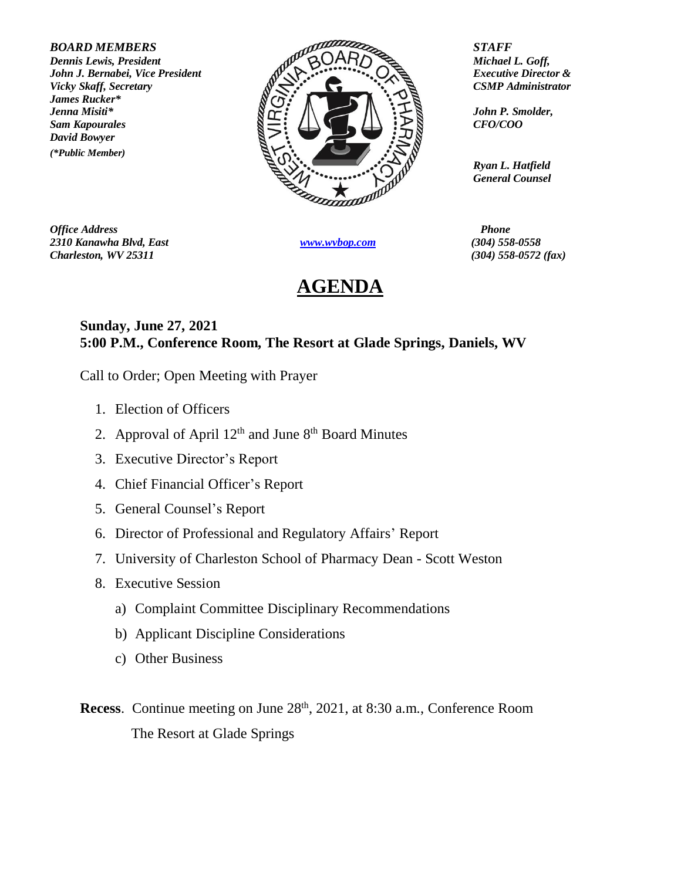*James Rucker\* David Bowyer (\*Public Member)*



*Office Address Phone 2310 Kanawha Blvd, East [www.wvbop.com](http://www.wvbop.com/) (304) 558-0558 Charleston, WV 25311 (304) 558-0572 (fax)*

## **AGENDA**

*Ryan L. Hatfield General Counsel*

## **Sunday, June 27, 2021 5:00 P.M., Conference Room, The Resort at Glade Springs, Daniels, WV**

Call to Order; Open Meeting with Prayer

- 1. Election of Officers
- 2. Approval of April  $12<sup>th</sup>$  and June  $8<sup>th</sup>$  Board Minutes
- 3. Executive Director's Report
- 4. Chief Financial Officer's Report
- 5. General Counsel's Report
- 6. Director of Professional and Regulatory Affairs' Report
- 7. University of Charleston School of Pharmacy Dean Scott Weston
- 8. Executive Session
	- a) Complaint Committee Disciplinary Recommendations
	- b) Applicant Discipline Considerations
	- c) Other Business

**Recess**. Continue meeting on June 28<sup>th</sup>, 2021, at 8:30 a.m., Conference Room The Resort at Glade Springs